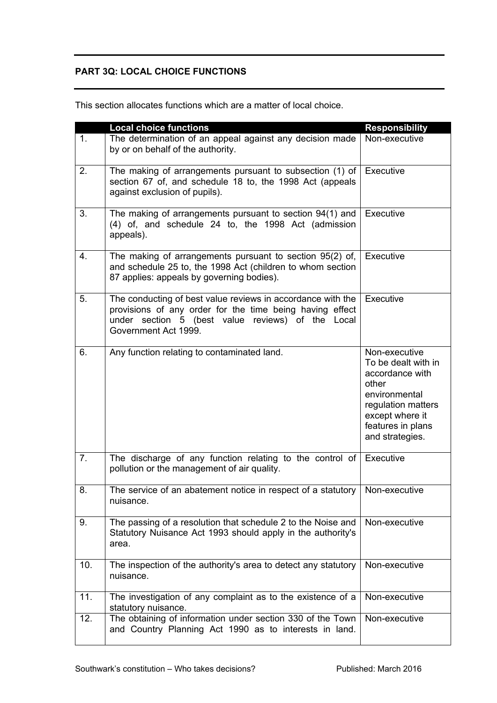## **PART 3Q: LOCAL CHOICE FUNCTIONS**

|                | <b>Local choice functions</b>                                                                                                                                                                        | <b>Responsibility</b>                                                                                                                                              |
|----------------|------------------------------------------------------------------------------------------------------------------------------------------------------------------------------------------------------|--------------------------------------------------------------------------------------------------------------------------------------------------------------------|
| 1 <sub>1</sub> | The determination of an appeal against any decision made<br>by or on behalf of the authority.                                                                                                        | Non-executive                                                                                                                                                      |
| 2.             | The making of arrangements pursuant to subsection (1) of<br>section 67 of, and schedule 18 to, the 1998 Act (appeals<br>against exclusion of pupils).                                                | Executive                                                                                                                                                          |
| 3.             | The making of arrangements pursuant to section 94(1) and<br>(4) of, and schedule 24 to, the 1998 Act (admission<br>appeals).                                                                         | Executive                                                                                                                                                          |
| 4.             | The making of arrangements pursuant to section 95(2) of,<br>and schedule 25 to, the 1998 Act (children to whom section<br>87 applies: appeals by governing bodies).                                  | Executive                                                                                                                                                          |
| 5.             | The conducting of best value reviews in accordance with the<br>provisions of any order for the time being having effect<br>under section 5 (best value reviews) of the Local<br>Government Act 1999. | Executive                                                                                                                                                          |
| 6.             | Any function relating to contaminated land.                                                                                                                                                          | Non-executive<br>To be dealt with in<br>accordance with<br>other<br>environmental<br>regulation matters<br>except where it<br>features in plans<br>and strategies. |
| 7.             | The discharge of any function relating to the control of $\vert$ Executive<br>pollution or the management of air quality.                                                                            |                                                                                                                                                                    |
| 8.             | The service of an abatement notice in respect of a statutory   Non-executive<br>nuisance.                                                                                                            |                                                                                                                                                                    |
| 9.             | The passing of a resolution that schedule 2 to the Noise and<br>Statutory Nuisance Act 1993 should apply in the authority's<br>area.                                                                 | Non-executive                                                                                                                                                      |
| 10.            | The inspection of the authority's area to detect any statutory<br>nuisance.                                                                                                                          | Non-executive                                                                                                                                                      |
| 11.            | The investigation of any complaint as to the existence of a<br>statutory nuisance.                                                                                                                   | Non-executive                                                                                                                                                      |
| 12.            | The obtaining of information under section 330 of the Town<br>and Country Planning Act 1990 as to interests in land.                                                                                 | Non-executive                                                                                                                                                      |

This section allocates functions which are a matter of local choice.